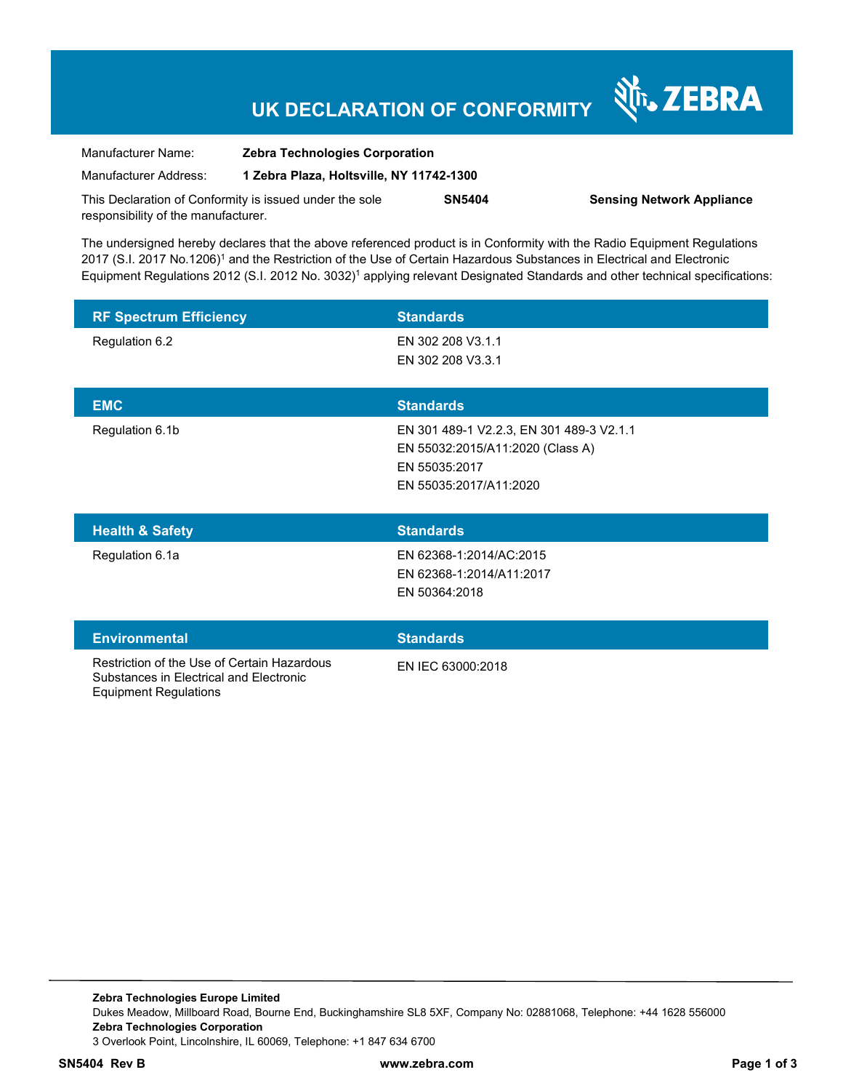# **UK DECLARATION OF CONFORMITY**

Nr. ZEBRA

| Manufacturer Name:                                      | <b>Zebra Technologies Corporation</b>    |               |                                  |
|---------------------------------------------------------|------------------------------------------|---------------|----------------------------------|
| Manufacturer Address:                                   | 1 Zebra Plaza, Holtsville, NY 11742-1300 |               |                                  |
| This Declaration of Conformity is issued under the sole |                                          | <b>SN5404</b> | <b>Sensing Network Appliance</b> |
| responsibility of the manufacturer.                     |                                          |               |                                  |

The undersigned hereby declares that the above referenced product is in Conformity with the Radio Equipment Regulations 2017 (S.I. 2017 No.1206)<sup>1</sup> and the Restriction of the Use of Certain Hazardous Substances in Electrical and Electronic Equipment Regulations 2012 (S.I. 2012 No. 3032)<sup>1</sup> applying relevant Designated Standards and other technical specifications:

| <b>RF Spectrum Efficiency</b> | <b>Standards</b>                                                                                                        |
|-------------------------------|-------------------------------------------------------------------------------------------------------------------------|
| Regulation 6.2                | EN 302 208 V3.1.1<br>EN 302 208 V3.3.1                                                                                  |
| <b>EMC</b>                    | <b>Standards</b>                                                                                                        |
| Regulation 6.1b               | EN 301 489-1 V2.2.3, EN 301 489-3 V2.1.1<br>EN 55032:2015/A11:2020 (Class A)<br>EN 55035:2017<br>EN 55035:2017/A11:2020 |
| <b>Health &amp; Safety</b>    | <b>Standards</b>                                                                                                        |
|                               |                                                                                                                         |
| Regulation 6.1a               | EN 62368-1:2014/AC:2015<br>EN 62368-1:2014/A11:2017<br>EN 50364:2018                                                    |
| <b>Environmental</b>          | <b>Standards</b>                                                                                                        |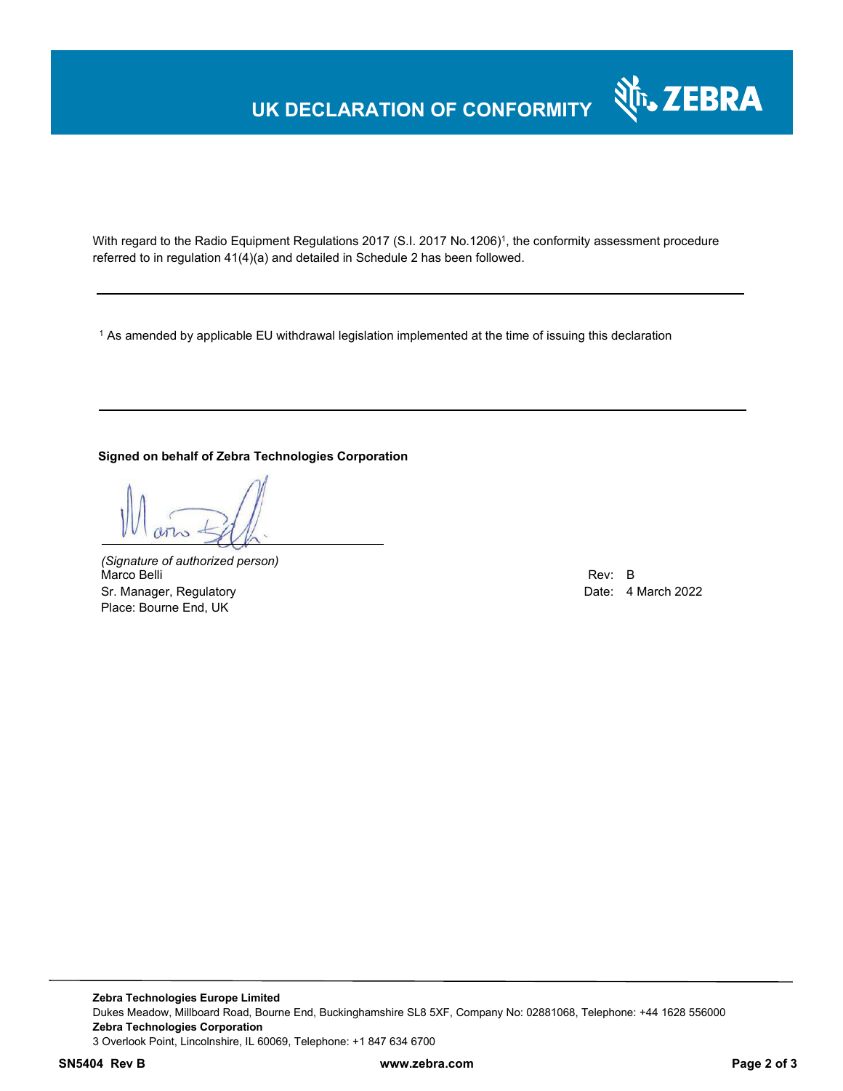## **UK DECLARATION OF CONFORMITY**



With regard to the Radio Equipment Regulations 2017 (S.I. 2017 No.1206)<sup>1</sup>, the conformity assessment procedure referred to in regulation 41(4)(a) and detailed in Schedule 2 has been followed.

 $^{\rm 1}$  As amended by applicable EU withdrawal legislation implemented at the time of issuing this declaration

#### **Signed on behalf of Zebra Technologies Corporation**

*(Signature of authorized person)* Marco Belli Rev: B Sr. Manager, Regulatory **Date: 4 March 2022** Place: Bourne End, UK